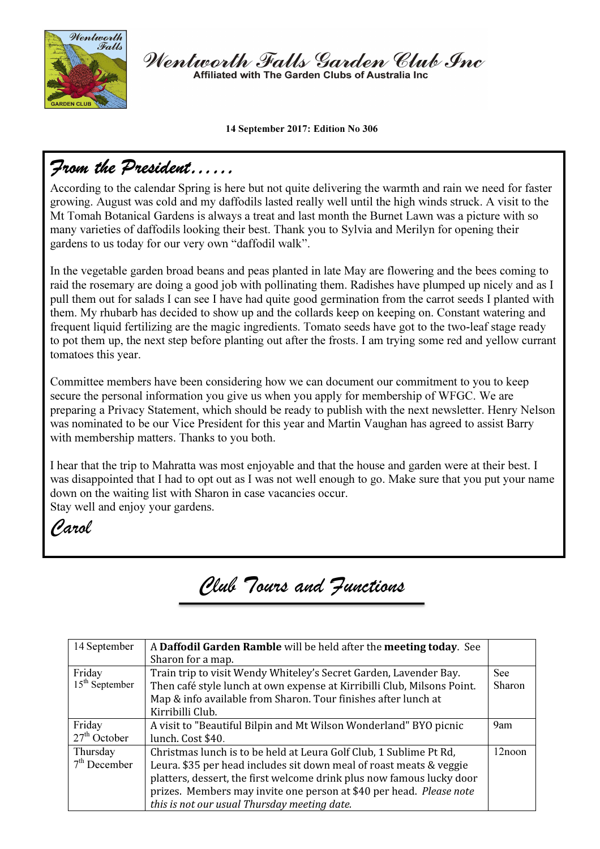

Wentworth Falls Garden Club Inc Affiliated with The Garden Clubs of Australia Ing

14 September 2017: Edition No 306

# From the President……

According to the calendar Spring is here but not quite delivering the warmth and rain we need for faster growing. August was cold and my daffodils lasted really well until the high winds struck. A visit to the Mt Tomah Botanical Gardens is always a treat and last month the Burnet Lawn was a picture with so many varieties of daffodils looking their best. Thank you to Sylvia and Merilyn for opening their gardens to us today for our very own "daffodil walk".

In the vegetable garden broad beans and peas planted in late May are flowering and the bees coming to raid the rosemary are doing a good job with pollinating them. Radishes have plumped up nicely and as I pull them out for salads I can see I have had quite good germination from the carrot seeds I planted with them. My rhubarb has decided to show up and the collards keep on keeping on. Constant watering and frequent liquid fertilizing are the magic ingredients. Tomato seeds have got to the two-leaf stage ready to pot them up, the next step before planting out after the frosts. I am trying some red and yellow currant tomatoes this year.

Committee members have been considering how we can document our commitment to you to keep secure the personal information you give us when you apply for membership of WFGC. We are preparing a Privacy Statement, which should be ready to publish with the next newsletter. Henry Nelson was nominated to be our Vice President for this year and Martin Vaughan has agreed to assist Barry with membership matters. Thanks to you both.

I hear that the trip to Mahratta was most enjoyable and that the house and garden were at their best. I was disappointed that I had to opt out as I was not well enough to go. Make sure that you put your name down on the waiting list with Sharon in case vacancies occur.

Stay well and enjoy your gardens.

Carol

# Club Tours and Functions

| 14 September               | A Daffodil Garden Ramble will be held after the meeting today. See<br>Sharon for a map.                                                                                                                                                                                                                                                   |                      |
|----------------------------|-------------------------------------------------------------------------------------------------------------------------------------------------------------------------------------------------------------------------------------------------------------------------------------------------------------------------------------------|----------------------|
| Friday<br>$15th$ September | Train trip to visit Wendy Whiteley's Secret Garden, Lavender Bay.<br>Then café style lunch at own expense at Kirribilli Club, Milsons Point.<br>Map & info available from Sharon. Tour finishes after lunch at<br>Kirribilli Club.                                                                                                        | <b>See</b><br>Sharon |
| Friday<br>$27th$ October   | A visit to "Beautiful Bilpin and Mt Wilson Wonderland" BYO picnic<br>lunch. Cost \$40.                                                                                                                                                                                                                                                    | 9am                  |
| Thursday<br>$7th$ December | Christmas lunch is to be held at Leura Golf Club, 1 Sublime Pt Rd,<br>Leura. \$35 per head includes sit down meal of roast meats & veggie<br>platters, dessert, the first welcome drink plus now famous lucky door<br>prizes. Members may invite one person at \$40 per head. Please note<br>this is not our usual Thursday meeting date. | 12noon               |